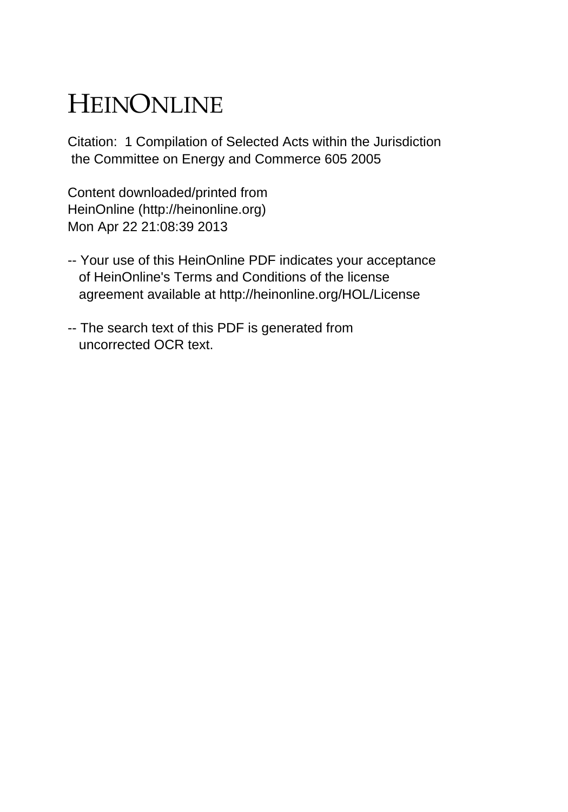## HEINONLINE

Citation: 1 Compilation of Selected Acts within the Jurisdiction the Committee on Energy and Commerce 605 2005

Content downloaded/printed from HeinOnline (http://heinonline.org) Mon Apr 22 21:08:39 2013

- -- Your use of this HeinOnline PDF indicates your acceptance of HeinOnline's Terms and Conditions of the license agreement available at http://heinonline.org/HOL/License
- -- The search text of this PDF is generated from uncorrected OCR text.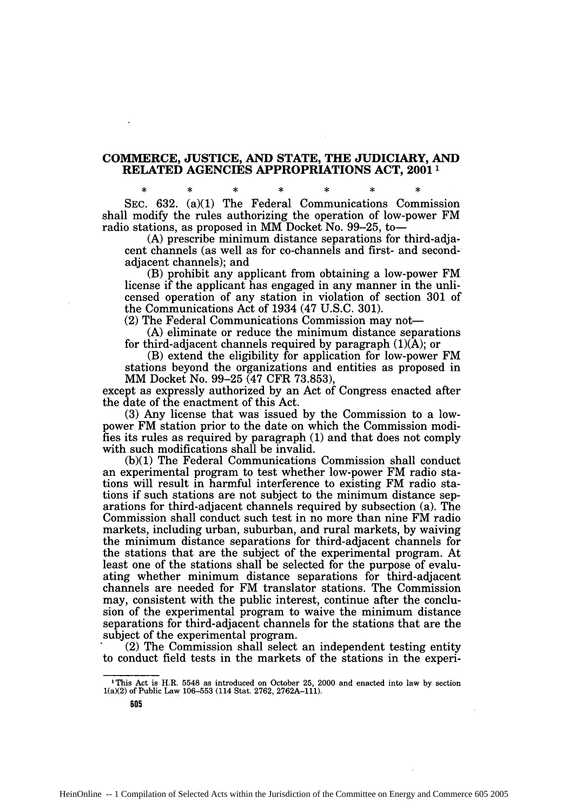## **COMMERCE, JUSTICE, AND STATE, THE JUDICIARY, AND RELATED AGENCIES APPROPRIATIONS ACT, 2001<sup>1</sup>**

**SEC. 632.** (a)(1) The Federal Communications Commission shall modify the rules authorizing the operation of low-power FM radio stations, as proposed in MM Docket No. **99-25,** to-

**(A)** prescribe minimum distance separations for third-adjacent channels (as well as for co-channels and first- and secondadjacent channels); and

(B) prohibit any applicant from obtaining a low-power FM license if the applicant has engaged in any manner in the unlicensed operation of any station in violation of section **301** of the Communications Act of 1934 (47 **U.S.C. 301).**

(2) The Federal Communications Commission may not-

**(A)** eliminate or reduce the minimum distance separations for third-adjacent channels required **by** paragraph **(1)(A);** or

(B) extend the eligibility for application for low-power FM stations beyond the organizations and entities as proposed in MM Docket No. **99-25** (47 CFR **73.853),**

except as expressly authorized **by** an Act of Congress enacted after the date of the enactment of this Act.

**(3)** Any license that was issued **by** the Commission to a lowpower FM station prior to the date on which the Commission modifies its rules as required **by** paragraph **(1)** and that does not comply with such modifications shall be invalid.

**(b)(1)** The Federal Communications Commission shall conduct an experimental program to test whether low-power FM radio stations will result in harmful interference to existing FM radio stations if such stations are not subject to the minimum distance separations for third-adjacent channels required **by** subsection (a). The Commission shall conduct such test in no more than nine FM radio markets, including urban, suburban, and rural markets, **by** waiving the minimum distance separations for third-adjacent channels for the stations that are the subject of the experimental program. At least one of the stations shall be selected for the purpose of evaluating whether minimum distance separations for third-adjacent channels are needed for FM translator stations. The Commission may, consistent with the public interest, continue after the conclusion of the experimental program to waive the minimum distance separations for third-adjacent channels for the stations that are the subject of the experimental program.

(2) The Commission shall select an independent testing entity to conduct field tests in the markets of the stations in the experi-

**IThis Act is H.R. 5548 as introduced on October 25, 2000 and enacted into law by section 1(a)(2) of Public Law 106-553 (114 Stat. 2762, 2762A-111).**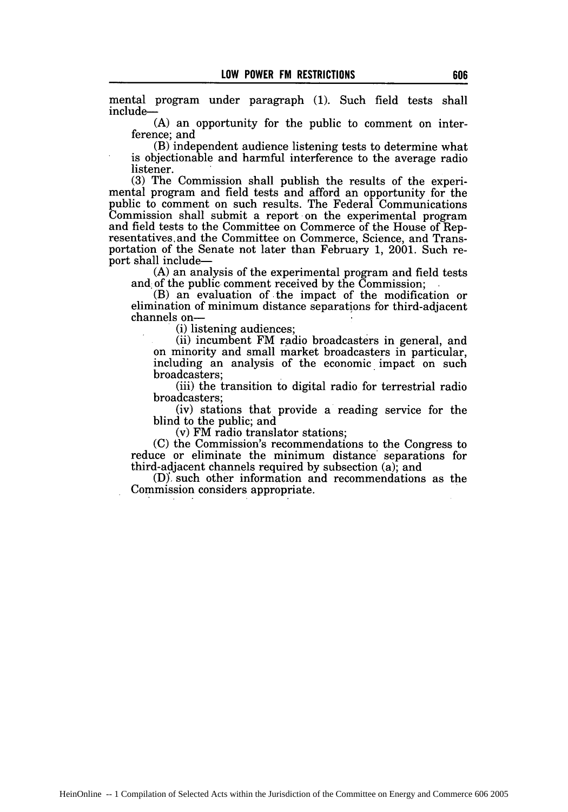mental program under paragraph (1). Such field tests shall include-

(A) an opportunity for the public to comment on interference; and

(B) independent audience listening tests to determine what is objectionable and harmful interference to the average radio listener.

(3) The Commission shall publish the results of the experimental program and field tests and afford an opportunity for the public to comment on such results. The Federal Communications Commission shall submit a report on the experimental program and field tests to the Committee on Commerce of the House of Rep- resentatives and the Committee on Commerce, Science, and Transportation of the Senate not later than February 1, 2001. Such report shall include-

(A) an analysis of the experimental program and field tests and of the public comment received by the Commission;

(B) an evaluation **of,** the impact of the modification or elimination of minimum distance separations for third-adjacent channels on-

(i) listening audiences;

(ii) incumbent FM radio broadcasters in general, and on minority and small market broadcasters in particular, including an analysis of the economic impact on such broadcasters;

(iii) the transition to digital radio for terrestrial radio broadcasters;

(iv) stations that provide a reading service for the blind to the public; and

(v) FM radio translator stations;

(C) the Commission's recommendations to the Congress to reduce or eliminate the minimum distance' separations for third-adjacent channels required by subsection (a); and

(D)', such other information and recommendations as the Commission considers appropriate.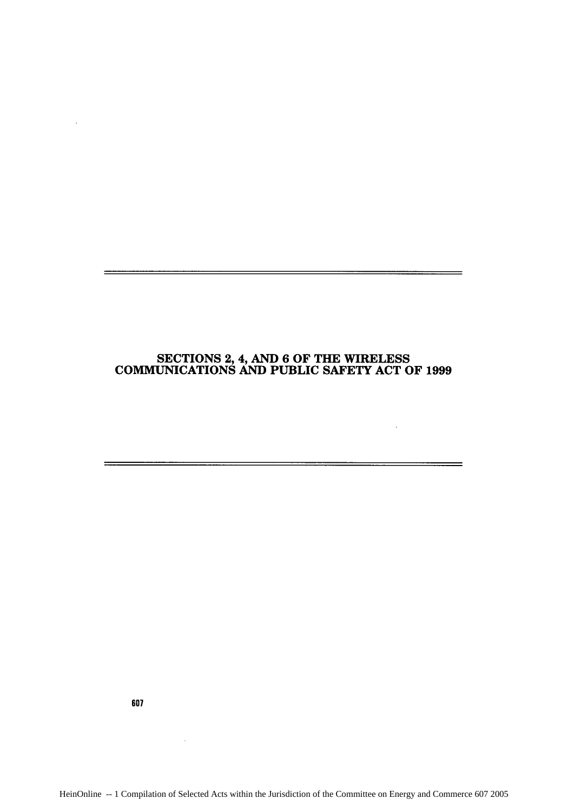## **SECTIONS** 2,4, **AND 6** OF THE WIRELESS COMMUNICATIONS **AND PUBLIC** SAFETY **ACT** OF **1999**

 $\sim 10^{-1}$ 

 $\overline{\phantom{0}}$ 

607

 $\sim$ 

 $\ddot{\phantom{a}}$